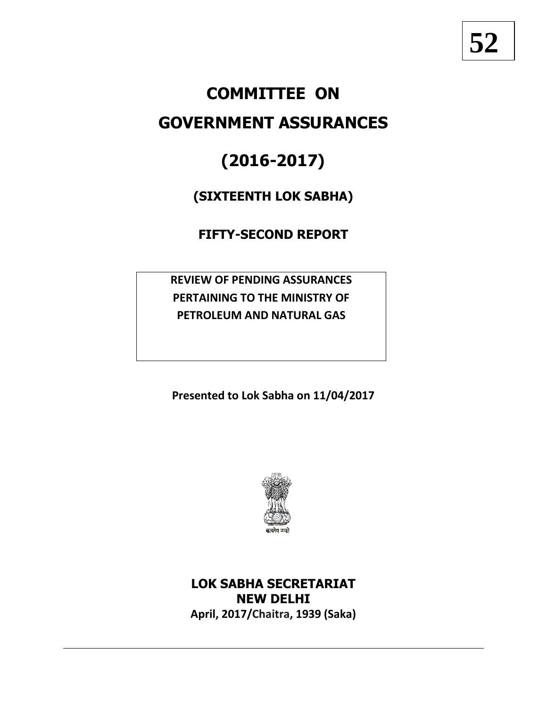# **COMMITTEE ON**

# **GOVERNMENT ASSURANCES**

# **(2016-2017)**

## **(SIXTEENTH LOK SABHA)**

## **FIFTY-SECOND REPORT**

**REVIEW OF PENDING ASSURANCES PERTAINING TO THE MINISTRY OF PETROLEUM AND NATURAL GAS**

**Presented to Lok Sabha on 11/04/2017**



## **LOK SABHA SECRETARIAT NEW DELHI April, 2017/Chaitra, 1939 (Saka)**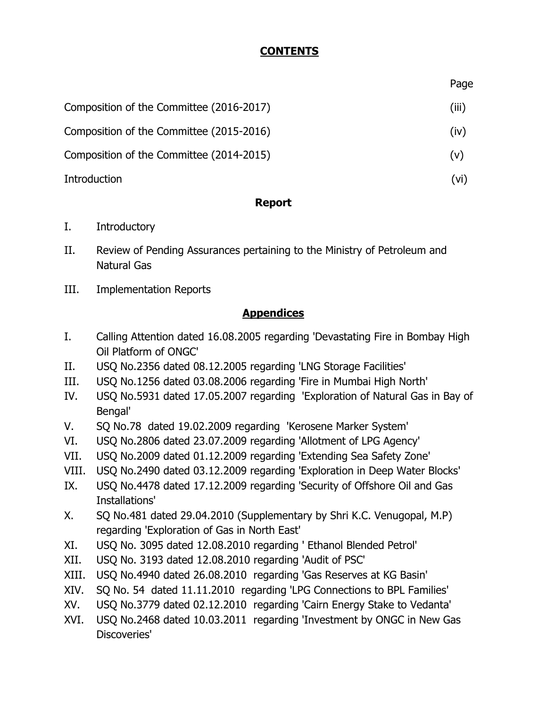## **CONTENTS**

Page

| Composition of the Committee (2016-2017) | (iii) |
|------------------------------------------|-------|
| Composition of the Committee (2015-2016) | (iv)  |
| Composition of the Committee (2014-2015) | (v)   |
| Introduction                             | (vi)  |

## **Report**

- I. Introductory
- II. Review of Pending Assurances pertaining to the Ministry of Petroleum and Natural Gas
- III. Implementation Reports

## **Appendices**

- I. Calling Attention dated 16.08.2005 regarding 'Devastating Fire in Bombay High Oil Platform of ONGC'
- II. USQ No.2356 dated 08.12.2005 regarding 'LNG Storage Facilities'
- III. USQ No.1256 dated 03.08.2006 regarding 'Fire in Mumbai High North'
- IV. USQ No.5931 dated 17.05.2007 regarding 'Exploration of Natural Gas in Bay of Bengal'
- V. SQ No.78 dated 19.02.2009 regarding 'Kerosene Marker System'
- VI. USQ No.2806 dated 23.07.2009 regarding 'Allotment of LPG Agency'
- VII. USQ No.2009 dated 01.12.2009 regarding 'Extending Sea Safety Zone'
- VIII. USQ No.2490 dated 03.12.2009 regarding 'Exploration in Deep Water Blocks'
- IX. USQ No.4478 dated 17.12.2009 regarding 'Security of Offshore Oil and Gas Installations'
- X. SQ No.481 dated 29.04.2010 (Supplementary by Shri K.C. Venugopal, M.P) regarding 'Exploration of Gas in North East'
- XI. USQ No. 3095 dated 12.08.2010 regarding ' Ethanol Blended Petrol'
- XII. USQ No. 3193 dated 12.08.2010 regarding 'Audit of PSC'
- XIII. USQ No.4940 dated 26.08.2010 regarding 'Gas Reserves at KG Basin'
- XIV. SQ No. 54 dated 11.11.2010 regarding 'LPG Connections to BPL Families'
- XV. USQ No.3779 dated 02.12.2010 regarding 'Cairn Energy Stake to Vedanta'
- XVI. USQ No.2468 dated 10.03.2011 regarding 'Investment by ONGC in New Gas Discoveries'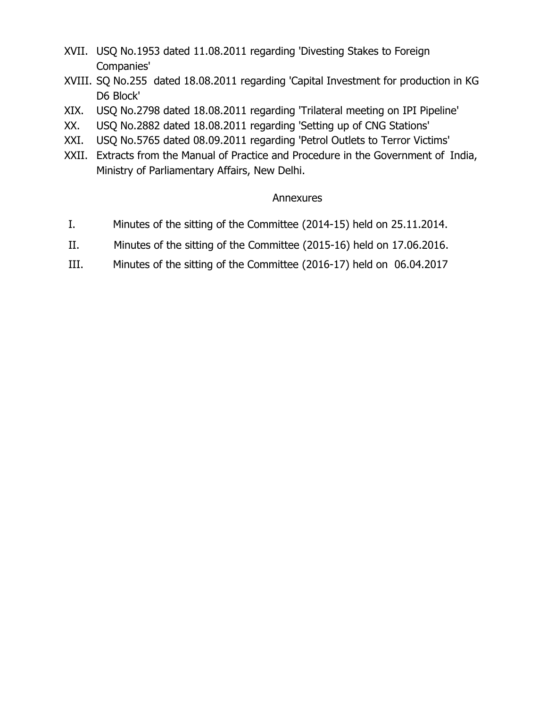- XVII. USQ No.1953 dated 11.08.2011 regarding 'Divesting Stakes to Foreign Companies'
- XVIII. SQ No.255 dated 18.08.2011 regarding 'Capital Investment for production in KG D6 Block'
- XIX. USQ No.2798 dated 18.08.2011 regarding 'Trilateral meeting on IPI Pipeline'
- XX. USQ No.2882 dated 18.08.2011 regarding 'Setting up of CNG Stations'
- XXI. USQ No.5765 dated 08.09.2011 regarding 'Petrol Outlets to Terror Victims'
- XXII. Extracts from the Manual of Practice and Procedure in the Government of India, Ministry of Parliamentary Affairs, New Delhi.

## Annexures

- I. Minutes of the sitting of the Committee (2014-15) held on 25.11.2014.
- II. Minutes of the sitting of the Committee (2015-16) held on 17.06.2016.
- III. Minutes of the sitting of the Committee (2016-17) held on 06.04.2017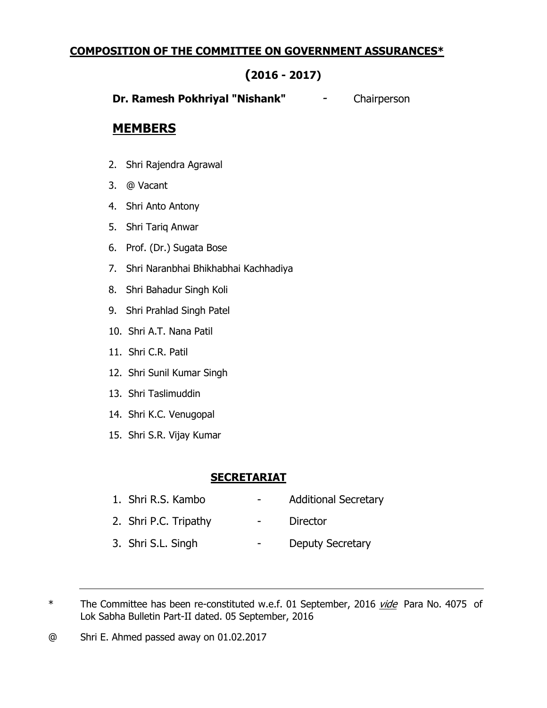## **COMPOSITION OF THE COMMITTEE ON GOVERNMENT ASSURANCES\***

## **(2016 - 2017)**

**Dr. Ramesh Pokhriyal "Nishank"** - Chairperson

## **MEMBERS**

- 2. Shri Rajendra Agrawal
- 3. @ Vacant
- 4. Shri Anto Antony
- 5. Shri Tariq Anwar
- 6. Prof. (Dr.) Sugata Bose
- 7. Shri Naranbhai Bhikhabhai Kachhadiya
- 8. Shri Bahadur Singh Koli
- 9. Shri Prahlad Singh Patel
- 10. Shri A.T. Nana Patil
- 11. Shri C.R. Patil
- 12. Shri Sunil Kumar Singh
- 13. Shri Taslimuddin
- 14. Shri K.C. Venugopal
- 15. Shri S.R. Vijay Kumar

### **SECRETARIAT**

- 1. Shri R.S. Kambo Additional Secretary 2. Shri P.C. Tripathy - Director 3. Shri S.L. Singh - Deputy Secretary
- \* The Committee has been re-constituted w.e.f. 01 September, 2016 vide Para No. 4075 of Lok Sabha Bulletin Part-II dated. 05 September, 2016

@ Shri E. Ahmed passed away on 01.02.2017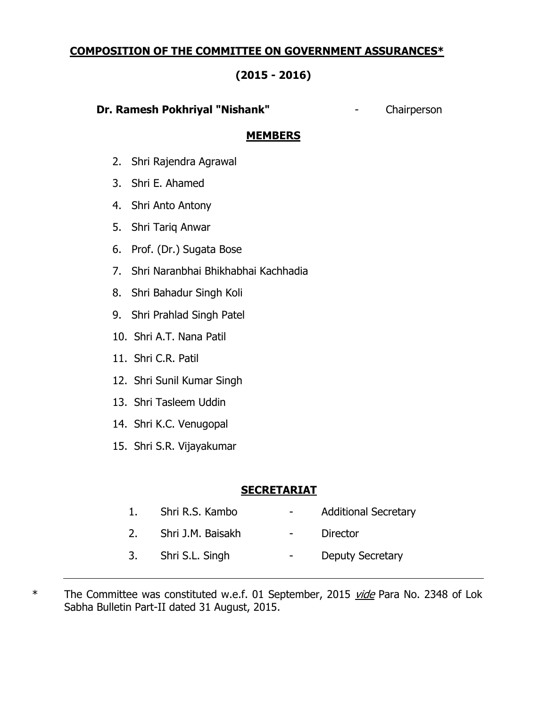## **COMPOSITION OF THE COMMITTEE ON GOVERNMENT ASSURANCES\***

## **(2015 - 2016)**

#### **Dr. Ramesh Pokhriyal "Nishank"** - Chairperson

#### **MEMBERS**

- 2. Shri Rajendra Agrawal
- 3. Shri E. Ahamed
- 4. Shri Anto Antony
- 5. Shri Tariq Anwar
- 6. Prof. (Dr.) Sugata Bose
- 7. Shri Naranbhai Bhikhabhai Kachhadia
- 8. Shri Bahadur Singh Koli
- 9. Shri Prahlad Singh Patel
- 10. Shri A.T. Nana Patil
- 11. Shri C.R. Patil
- 12. Shri Sunil Kumar Singh
- 13. Shri Tasleem Uddin
- 14. Shri K.C. Venugopal
- 15. Shri S.R. Vijayakumar

### **SECRETARIAT**

1. Shri R.S. Kambo **- Additional Secretary** 2. Shri J.M. Baisakh - Director 3. Shri S.L. Singh - Deputy Secretary

\* The Committee was constituted w.e.f. 01 September, 2015 *vide* Para No. 2348 of Lok Sabha Bulletin Part-II dated 31 August, 2015.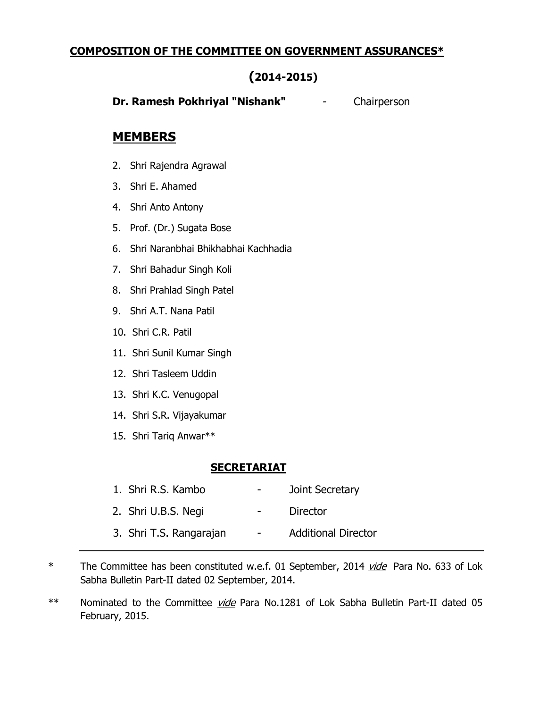## **COMPOSITION OF THE COMMITTEE ON GOVERNMENT ASSURANCES\***

## **(2014-2015)**

**Dr. Ramesh Pokhriyal "Nishank"** - Chairperson

## **MEMBERS**

- 2. Shri Rajendra Agrawal
- 3. Shri E. Ahamed
- 4. Shri Anto Antony
- 5. Prof. (Dr.) Sugata Bose
- 6. Shri Naranbhai Bhikhabhai Kachhadia
- 7. Shri Bahadur Singh Koli
- 8. Shri Prahlad Singh Patel
- 9. Shri A.T. Nana Patil
- 10. Shri C.R. Patil
- 11. Shri Sunil Kumar Singh
- 12. Shri Tasleem Uddin
- 13. Shri K.C. Venugopal
- 14. Shri S.R. Vijayakumar
- 15. Shri Tariq Anwar\*\*

### **SECRETARIAT**

| 1. Shri R.S. Kambo      | $\sim$                   | Joint Secretary            |
|-------------------------|--------------------------|----------------------------|
| 2. Shri U.B.S. Negi     |                          | <b>Director</b>            |
| 3. Shri T.S. Rangarajan | $\overline{\phantom{0}}$ | <b>Additional Director</b> |

\* The Committee has been constituted w.e.f. 01 September, 2014 *vide* Para No. 633 of Lok Sabha Bulletin Part-II dated 02 September, 2014.

\*\* Nominated to the Committee *vide* Para No.1281 of Lok Sabha Bulletin Part-II dated 05 February, 2015.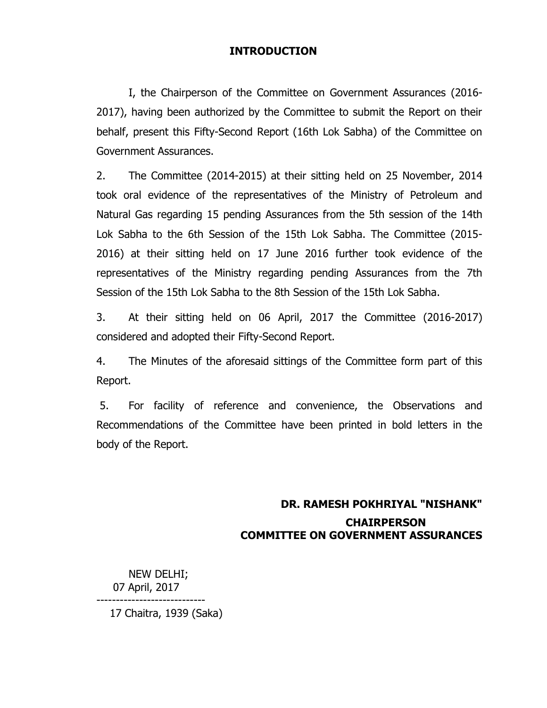#### **INTRODUCTION**

I, the Chairperson of the Committee on Government Assurances (2016- 2017), having been authorized by the Committee to submit the Report on their behalf, present this Fifty-Second Report (16th Lok Sabha) of the Committee on Government Assurances.

2. The Committee (2014-2015) at their sitting held on 25 November, 2014 took oral evidence of the representatives of the Ministry of Petroleum and Natural Gas regarding 15 pending Assurances from the 5th session of the 14th Lok Sabha to the 6th Session of the 15th Lok Sabha. The Committee (2015- 2016) at their sitting held on 17 June 2016 further took evidence of the representatives of the Ministry regarding pending Assurances from the 7th Session of the 15th Lok Sabha to the 8th Session of the 15th Lok Sabha.

3. At their sitting held on 06 April, 2017 the Committee (2016-2017) considered and adopted their Fifty-Second Report.

4. The Minutes of the aforesaid sittings of the Committee form part of this Report.

5. For facility of reference and convenience, the Observations and Recommendations of the Committee have been printed in bold letters in the body of the Report.

## **DR. RAMESH POKHRIYAL "NISHANK" CHAIRPERSON COMMITTEE ON GOVERNMENT ASSURANCES**

NEW DELHI; 07 April, 2017 ----------------------------

17 Chaitra, 1939 (Saka)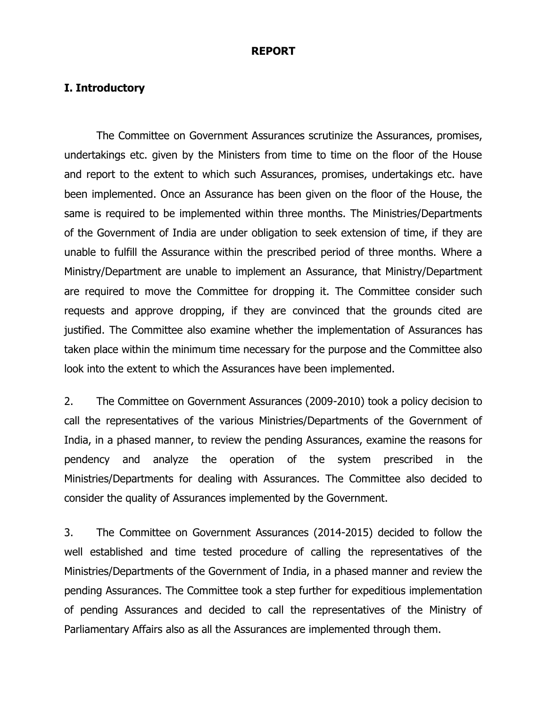#### **REPORT**

#### **I. Introductory**

The Committee on Government Assurances scrutinize the Assurances, promises, undertakings etc. given by the Ministers from time to time on the floor of the House and report to the extent to which such Assurances, promises, undertakings etc. have been implemented. Once an Assurance has been given on the floor of the House, the same is required to be implemented within three months. The Ministries/Departments of the Government of India are under obligation to seek extension of time, if they are unable to fulfill the Assurance within the prescribed period of three months. Where a Ministry/Department are unable to implement an Assurance, that Ministry/Department are required to move the Committee for dropping it. The Committee consider such requests and approve dropping, if they are convinced that the grounds cited are justified. The Committee also examine whether the implementation of Assurances has taken place within the minimum time necessary for the purpose and the Committee also look into the extent to which the Assurances have been implemented.

2. The Committee on Government Assurances (2009-2010) took a policy decision to call the representatives of the various Ministries/Departments of the Government of India, in a phased manner, to review the pending Assurances, examine the reasons for pendency and analyze the operation of the system prescribed in the Ministries/Departments for dealing with Assurances. The Committee also decided to consider the quality of Assurances implemented by the Government.

3. The Committee on Government Assurances (2014-2015) decided to follow the well established and time tested procedure of calling the representatives of the Ministries/Departments of the Government of India, in a phased manner and review the pending Assurances. The Committee took a step further for expeditious implementation of pending Assurances and decided to call the representatives of the Ministry of Parliamentary Affairs also as all the Assurances are implemented through them.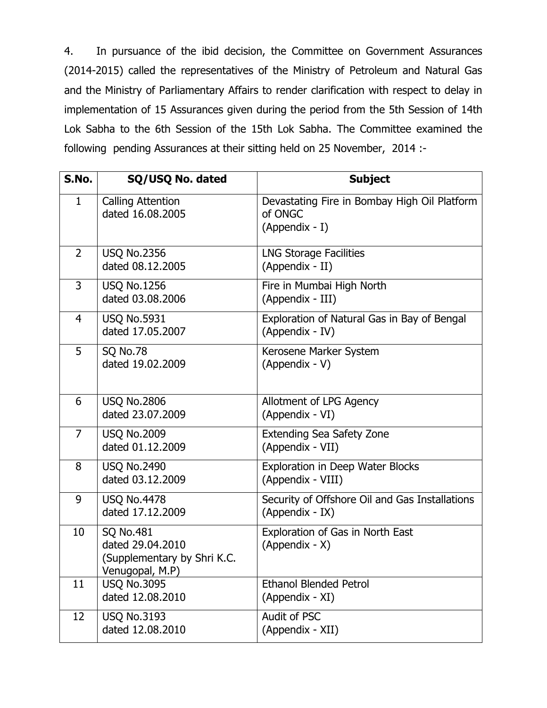4. In pursuance of the ibid decision, the Committee on Government Assurances (2014-2015) called the representatives of the Ministry of Petroleum and Natural Gas and the Ministry of Parliamentary Affairs to render clarification with respect to delay in implementation of 15 Assurances given during the period from the 5th Session of 14th Lok Sabha to the 6th Session of the 15th Lok Sabha. The Committee examined the following pending Assurances at their sitting held on 25 November, 2014 :-

| S.No.          | SQ/USQ No. dated                                                                       | <b>Subject</b>                                                            |
|----------------|----------------------------------------------------------------------------------------|---------------------------------------------------------------------------|
| 1              | <b>Calling Attention</b><br>dated 16.08.2005                                           | Devastating Fire in Bombay High Oil Platform<br>of ONGC<br>(Appendix - I) |
| $\overline{2}$ | <b>USQ No.2356</b><br>dated 08.12.2005                                                 | <b>LNG Storage Facilities</b><br>(Appendix - II)                          |
| 3              | <b>USQ No.1256</b><br>dated 03.08.2006                                                 | Fire in Mumbai High North<br>(Appendix - III)                             |
| $\overline{4}$ | <b>USQ No.5931</b><br>dated 17.05.2007                                                 | Exploration of Natural Gas in Bay of Bengal<br>(Appendix - IV)            |
| 5              | <b>SQ No.78</b><br>dated 19.02.2009                                                    | Kerosene Marker System<br>(Appendix - V)                                  |
| 6              | <b>USQ No.2806</b><br>dated 23.07.2009                                                 | Allotment of LPG Agency<br>(Appendix - VI)                                |
| $\overline{7}$ | <b>USQ No.2009</b><br>dated 01.12.2009                                                 | <b>Extending Sea Safety Zone</b><br>(Appendix - VII)                      |
| 8              | <b>USQ No.2490</b><br>dated 03.12.2009                                                 | Exploration in Deep Water Blocks<br>(Appendix - VIII)                     |
| 9              | <b>USQ No.4478</b><br>dated 17.12.2009                                                 | Security of Offshore Oil and Gas Installations<br>(Appendix - IX)         |
| 10             | <b>SQ No.481</b><br>dated 29.04.2010<br>(Supplementary by Shri K.C.<br>Venugopal, M.P) | Exploration of Gas in North East<br>(Appendix - X)                        |
| 11             | <b>USQ No.3095</b><br>dated 12.08.2010                                                 | <b>Ethanol Blended Petrol</b><br>(Appendix - XI)                          |
| 12             | <b>USQ No.3193</b><br>dated 12.08.2010                                                 | Audit of PSC<br>(Appendix - XII)                                          |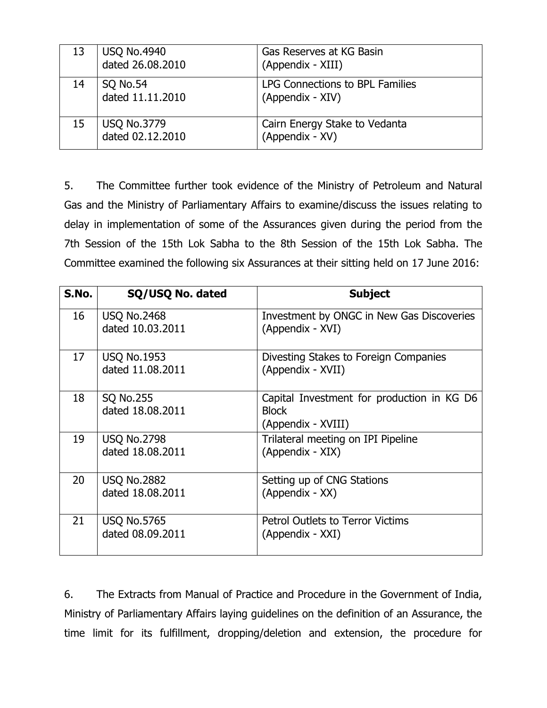| 13 | USQ No.4940<br>dated 26.08.2010        | Gas Reserves at KG Basin<br>(Appendix - XIII)       |
|----|----------------------------------------|-----------------------------------------------------|
| 14 | <b>SQ No.54</b><br>dated 11.11.2010    | LPG Connections to BPL Families<br>(Appendix - XIV) |
| 15 | <b>USQ No.3779</b><br>dated 02.12.2010 | Cairn Energy Stake to Vedanta<br>(Appendix - XV)    |

5. The Committee further took evidence of the Ministry of Petroleum and Natural Gas and the Ministry of Parliamentary Affairs to examine/discuss the issues relating to delay in implementation of some of the Assurances given during the period from the 7th Session of the 15th Lok Sabha to the 8th Session of the 15th Lok Sabha. The Committee examined the following six Assurances at their sitting held on 17 June 2016:

| S.No. | SQ/USQ No. dated                       | <b>Subject</b>                                                                   |
|-------|----------------------------------------|----------------------------------------------------------------------------------|
| 16    | <b>USQ No.2468</b><br>dated 10.03.2011 | Investment by ONGC in New Gas Discoveries<br>(Appendix - XVI)                    |
| 17    | <b>USQ No.1953</b><br>dated 11.08.2011 | Divesting Stakes to Foreign Companies<br>(Appendix - XVII)                       |
| 18    | <b>SQ No.255</b><br>dated 18.08.2011   | Capital Investment for production in KG D6<br><b>Block</b><br>(Appendix - XVIII) |
| 19    | <b>USQ No.2798</b><br>dated 18.08.2011 | Trilateral meeting on IPI Pipeline<br>(Appendix - XIX)                           |
| 20    | <b>USQ No.2882</b><br>dated 18.08.2011 | Setting up of CNG Stations<br>(Appendix - XX)                                    |
| 21    | <b>USQ No.5765</b><br>dated 08.09.2011 | <b>Petrol Outlets to Terror Victims</b><br>(Appendix - XXI)                      |

6. The Extracts from Manual of Practice and Procedure in the Government of India, Ministry of Parliamentary Affairs laying guidelines on the definition of an Assurance, the time limit for its fulfillment, dropping/deletion and extension, the procedure for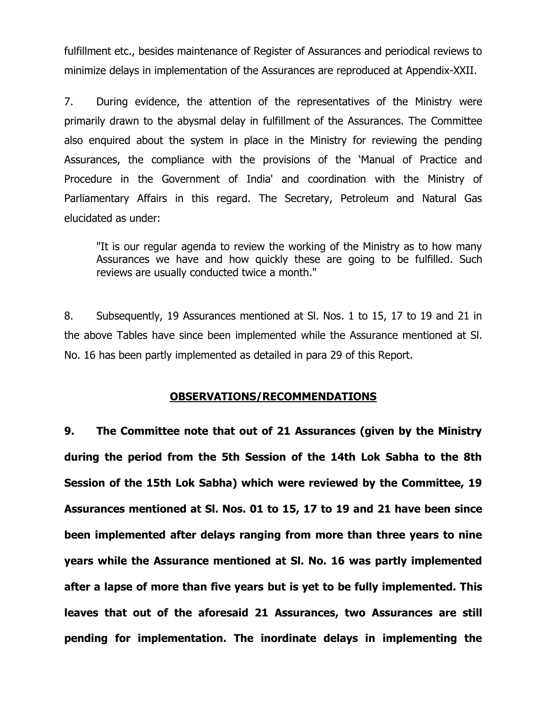fulfillment etc., besides maintenance of Register of Assurances and periodical reviews to minimize delays in implementation of the Assurances are reproduced at Appendix-XXII.

7. During evidence, the attention of the representatives of the Ministry were primarily drawn to the abysmal delay in fulfillment of the Assurances. The Committee also enquired about the system in place in the Ministry for reviewing the pending Assurances, the compliance with the provisions of the 'Manual of Practice and Procedure in the Government of India' and coordination with the Ministry of Parliamentary Affairs in this regard. The Secretary, Petroleum and Natural Gas elucidated as under:

"It is our regular agenda to review the working of the Ministry as to how many Assurances we have and how quickly these are going to be fulfilled. Such reviews are usually conducted twice a month."

8. Subsequently, 19 Assurances mentioned at Sl. Nos. 1 to 15, 17 to 19 and 21 in the above Tables have since been implemented while the Assurance mentioned at Sl. No. 16 has been partly implemented as detailed in para 29 of this Report.

#### **OBSERVATIONS/RECOMMENDATIONS**

**9. The Committee note that out of 21 Assurances (given by the Ministry during the period from the 5th Session of the 14th Lok Sabha to the 8th Session of the 15th Lok Sabha) which were reviewed by the Committee, 19 Assurances mentioned at Sl. Nos. 01 to 15, 17 to 19 and 21 have been since been implemented after delays ranging from more than three years to nine years while the Assurance mentioned at Sl. No. 16 was partly implemented after a lapse of more than five years but is yet to be fully implemented. This leaves that out of the aforesaid 21 Assurances, two Assurances are still pending for implementation. The inordinate delays in implementing the**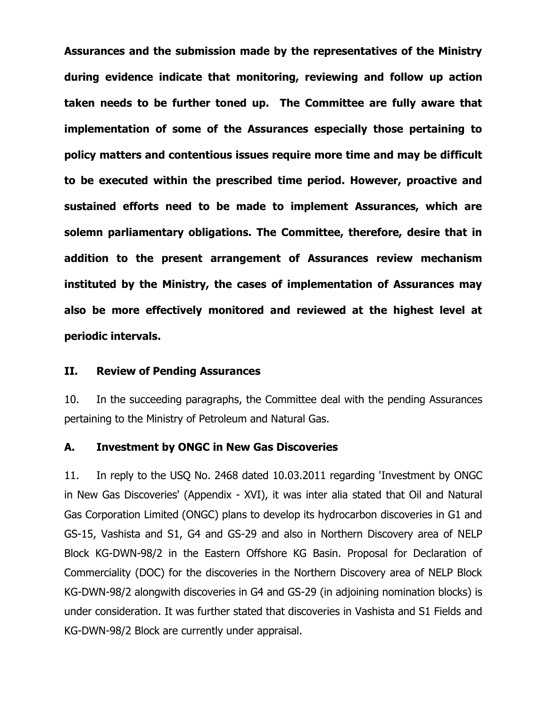**Assurances and the submission made by the representatives of the Ministry during evidence indicate that monitoring, reviewing and follow up action taken needs to be further toned up. The Committee are fully aware that implementation of some of the Assurances especially those pertaining to policy matters and contentious issues require more time and may be difficult to be executed within the prescribed time period. However, proactive and sustained efforts need to be made to implement Assurances, which are solemn parliamentary obligations. The Committee, therefore, desire that in addition to the present arrangement of Assurances review mechanism instituted by the Ministry, the cases of implementation of Assurances may also be more effectively monitored and reviewed at the highest level at periodic intervals.**

#### **II. Review of Pending Assurances**

10. In the succeeding paragraphs, the Committee deal with the pending Assurances pertaining to the Ministry of Petroleum and Natural Gas.

#### **A. Investment by ONGC in New Gas Discoveries**

11. In reply to the USQ No. 2468 dated 10.03.2011 regarding 'Investment by ONGC in New Gas Discoveries' (Appendix - XVI), it was inter alia stated that Oil and Natural Gas Corporation Limited (ONGC) plans to develop its hydrocarbon discoveries in G1 and GS-15, Vashista and S1, G4 and GS-29 and also in Northern Discovery area of NELP Block KG-DWN-98/2 in the Eastern Offshore KG Basin. Proposal for Declaration of Commerciality (DOC) for the discoveries in the Northern Discovery area of NELP Block KG-DWN-98/2 alongwith discoveries in G4 and GS-29 (in adjoining nomination blocks) is under consideration. It was further stated that discoveries in Vashista and S1 Fields and KG-DWN-98/2 Block are currently under appraisal.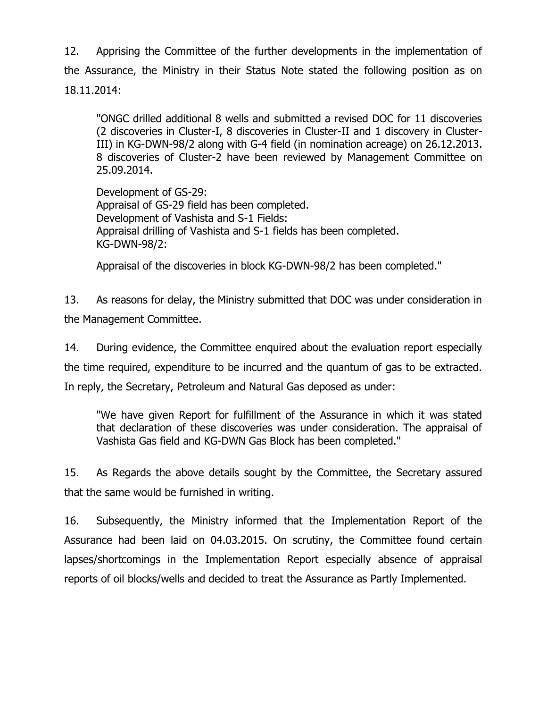12. Apprising the Committee of the further developments in the implementation of the Assurance, the Ministry in their Status Note stated the following position as on 18.11.2014:

"ONGC drilled additional 8 wells and submitted a revised DOC for 11 discoveries (2 discoveries in Cluster-I, 8 discoveries in Cluster-II and 1 discovery in Cluster-III) in KG-DWN-98/2 along with G-4 field (in nomination acreage) on 26.12.2013. 8 discoveries of Cluster-2 have been reviewed by Management Committee on 25.09.2014.

Development of GS-29: Appraisal of GS-29 field has been completed. Development of Vashista and S-1 Fields: Appraisal drilling of Vashista and S-1 fields has been completed. KG-DWN-98/2:

Appraisal of the discoveries in block KG-DWN-98/2 has been completed."

13. As reasons for delay, the Ministry submitted that DOC was under consideration in the Management Committee.

14. During evidence, the Committee enquired about the evaluation report especially the time required, expenditure to be incurred and the quantum of gas to be extracted. In reply, the Secretary, Petroleum and Natural Gas deposed as under:

"We have given Report for fulfillment of the Assurance in which it was stated that declaration of these discoveries was under consideration. The appraisal of Vashista Gas field and KG-DWN Gas Block has been completed."

15. As Regards the above details sought by the Committee, the Secretary assured that the same would be furnished in writing.

16. Subsequently, the Ministry informed that the Implementation Report of the Assurance had been laid on 04.03.2015. On scrutiny, the Committee found certain lapses/shortcomings in the Implementation Report especially absence of appraisal reports of oil blocks/wells and decided to treat the Assurance as Partly Implemented.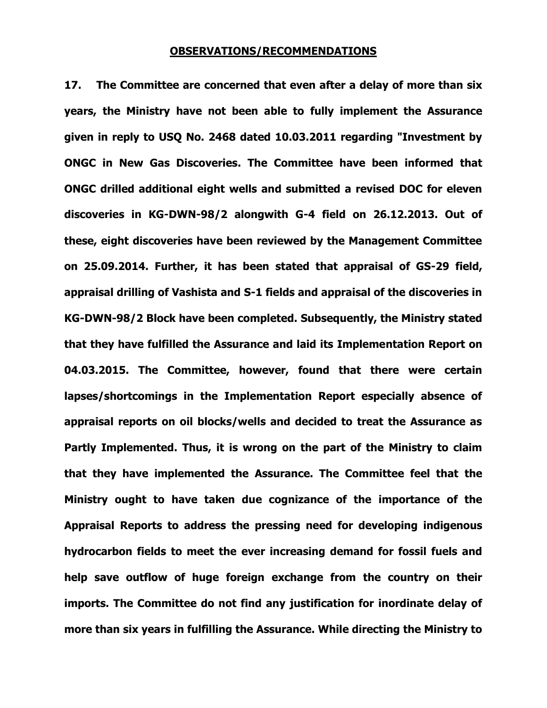#### **OBSERVATIONS/RECOMMENDATIONS**

**17. The Committee are concerned that even after a delay of more than six years, the Ministry have not been able to fully implement the Assurance given in reply to USQ No. 2468 dated 10.03.2011 regarding "Investment by ONGC in New Gas Discoveries. The Committee have been informed that ONGC drilled additional eight wells and submitted a revised DOC for eleven discoveries in KG-DWN-98/2 alongwith G-4 field on 26.12.2013. Out of these, eight discoveries have been reviewed by the Management Committee on 25.09.2014. Further, it has been stated that appraisal of GS-29 field, appraisal drilling of Vashista and S-1 fields and appraisal of the discoveries in KG-DWN-98/2 Block have been completed. Subsequently, the Ministry stated that they have fulfilled the Assurance and laid its Implementation Report on 04.03.2015. The Committee, however, found that there were certain lapses/shortcomings in the Implementation Report especially absence of appraisal reports on oil blocks/wells and decided to treat the Assurance as Partly Implemented. Thus, it is wrong on the part of the Ministry to claim that they have implemented the Assurance. The Committee feel that the Ministry ought to have taken due cognizance of the importance of the Appraisal Reports to address the pressing need for developing indigenous hydrocarbon fields to meet the ever increasing demand for fossil fuels and help save outflow of huge foreign exchange from the country on their imports. The Committee do not find any justification for inordinate delay of more than six years in fulfilling the Assurance. While directing the Ministry to**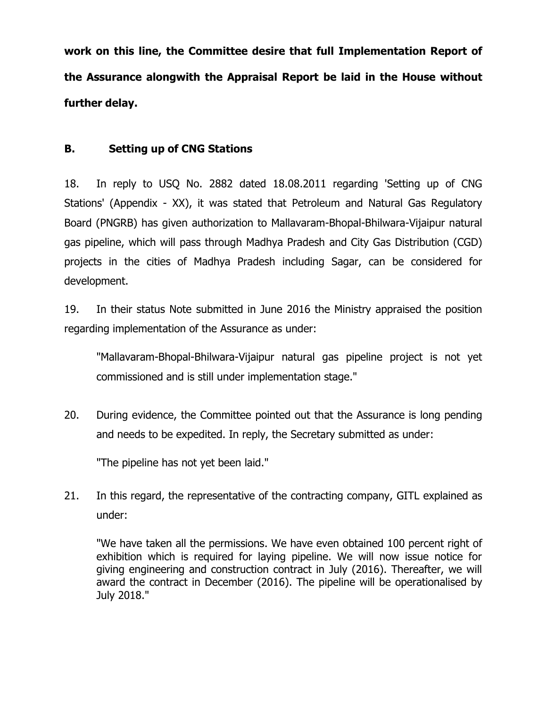**work on this line, the Committee desire that full Implementation Report of the Assurance alongwith the Appraisal Report be laid in the House without further delay.**

### **B. Setting up of CNG Stations**

18. In reply to USQ No. 2882 dated 18.08.2011 regarding 'Setting up of CNG Stations' (Appendix - XX), it was stated that Petroleum and Natural Gas Regulatory Board (PNGRB) has given authorization to Mallavaram-Bhopal-Bhilwara-Vijaipur natural gas pipeline, which will pass through Madhya Pradesh and City Gas Distribution (CGD) projects in the cities of Madhya Pradesh including Sagar, can be considered for development.

19. In their status Note submitted in June 2016 the Ministry appraised the position regarding implementation of the Assurance as under:

"Mallavaram-Bhopal-Bhilwara-Vijaipur natural gas pipeline project is not yet commissioned and is still under implementation stage."

20. During evidence, the Committee pointed out that the Assurance is long pending and needs to be expedited. In reply, the Secretary submitted as under:

"The pipeline has not yet been laid."

21. In this regard, the representative of the contracting company, GITL explained as under:

"We have taken all the permissions. We have even obtained 100 percent right of exhibition which is required for laying pipeline. We will now issue notice for giving engineering and construction contract in July (2016). Thereafter, we will award the contract in December (2016). The pipeline will be operationalised by July 2018."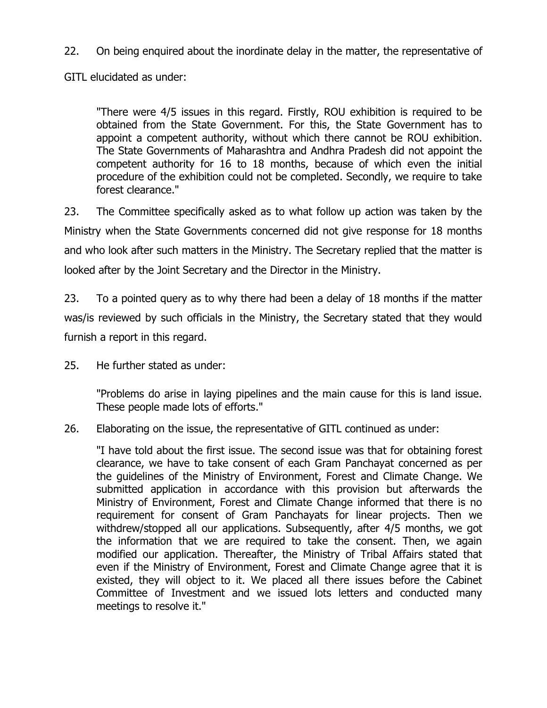22. On being enquired about the inordinate delay in the matter, the representative of

GITL elucidated as under:

"There were 4/5 issues in this regard. Firstly, ROU exhibition is required to be obtained from the State Government. For this, the State Government has to appoint a competent authority, without which there cannot be ROU exhibition. The State Governments of Maharashtra and Andhra Pradesh did not appoint the competent authority for 16 to 18 months, because of which even the initial procedure of the exhibition could not be completed. Secondly, we require to take forest clearance."

23. The Committee specifically asked as to what follow up action was taken by the Ministry when the State Governments concerned did not give response for 18 months and who look after such matters in the Ministry. The Secretary replied that the matter is looked after by the Joint Secretary and the Director in the Ministry.

23. To a pointed query as to why there had been a delay of 18 months if the matter was/is reviewed by such officials in the Ministry, the Secretary stated that they would furnish a report in this regard.

25. He further stated as under:

"Problems do arise in laying pipelines and the main cause for this is land issue. These people made lots of efforts."

26. Elaborating on the issue, the representative of GITL continued as under:

"I have told about the first issue. The second issue was that for obtaining forest clearance, we have to take consent of each Gram Panchayat concerned as per the guidelines of the Ministry of Environment, Forest and Climate Change. We submitted application in accordance with this provision but afterwards the Ministry of Environment, Forest and Climate Change informed that there is no requirement for consent of Gram Panchayats for linear projects. Then we withdrew/stopped all our applications. Subsequently, after 4/5 months, we got the information that we are required to take the consent. Then, we again modified our application. Thereafter, the Ministry of Tribal Affairs stated that even if the Ministry of Environment, Forest and Climate Change agree that it is existed, they will object to it. We placed all there issues before the Cabinet Committee of Investment and we issued lots letters and conducted many meetings to resolve it."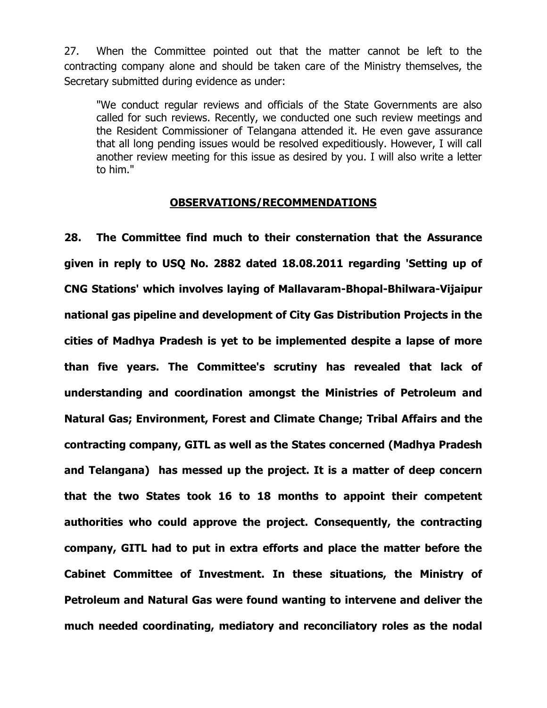27. When the Committee pointed out that the matter cannot be left to the contracting company alone and should be taken care of the Ministry themselves, the Secretary submitted during evidence as under:

"We conduct regular reviews and officials of the State Governments are also called for such reviews. Recently, we conducted one such review meetings and the Resident Commissioner of Telangana attended it. He even gave assurance that all long pending issues would be resolved expeditiously. However, I will call another review meeting for this issue as desired by you. I will also write a letter to him."

#### **OBSERVATIONS/RECOMMENDATIONS**

**28. The Committee find much to their consternation that the Assurance given in reply to USQ No. 2882 dated 18.08.2011 regarding 'Setting up of CNG Stations' which involves laying of Mallavaram-Bhopal-Bhilwara-Vijaipur national gas pipeline and development of City Gas Distribution Projects in the cities of Madhya Pradesh is yet to be implemented despite a lapse of more than five years. The Committee's scrutiny has revealed that lack of understanding and coordination amongst the Ministries of Petroleum and Natural Gas; Environment, Forest and Climate Change; Tribal Affairs and the contracting company, GITL as well as the States concerned (Madhya Pradesh and Telangana) has messed up the project. It is a matter of deep concern that the two States took 16 to 18 months to appoint their competent authorities who could approve the project. Consequently, the contracting company, GITL had to put in extra efforts and place the matter before the Cabinet Committee of Investment. In these situations, the Ministry of Petroleum and Natural Gas were found wanting to intervene and deliver the much needed coordinating, mediatory and reconciliatory roles as the nodal**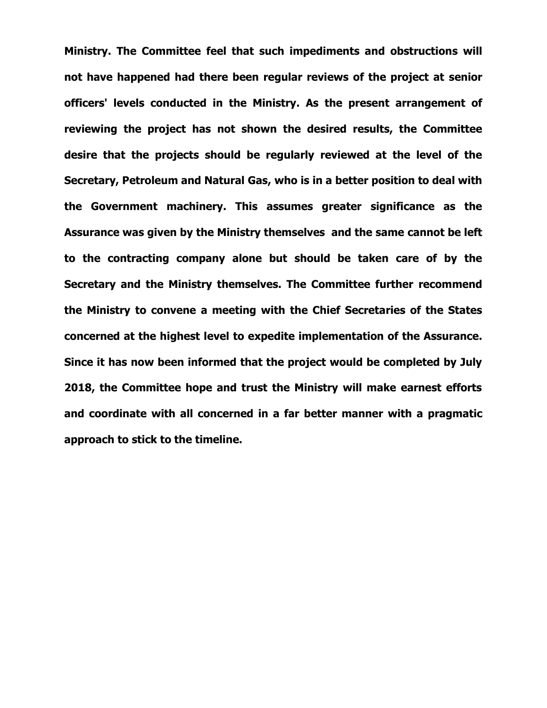**Ministry. The Committee feel that such impediments and obstructions will not have happened had there been regular reviews of the project at senior officers' levels conducted in the Ministry. As the present arrangement of reviewing the project has not shown the desired results, the Committee desire that the projects should be regularly reviewed at the level of the Secretary, Petroleum and Natural Gas, who is in a better position to deal with the Government machinery. This assumes greater significance as the Assurance was given by the Ministry themselves and the same cannot be left to the contracting company alone but should be taken care of by the Secretary and the Ministry themselves. The Committee further recommend the Ministry to convene a meeting with the Chief Secretaries of the States concerned at the highest level to expedite implementation of the Assurance. Since it has now been informed that the project would be completed by July 2018, the Committee hope and trust the Ministry will make earnest efforts and coordinate with all concerned in a far better manner with a pragmatic approach to stick to the timeline.**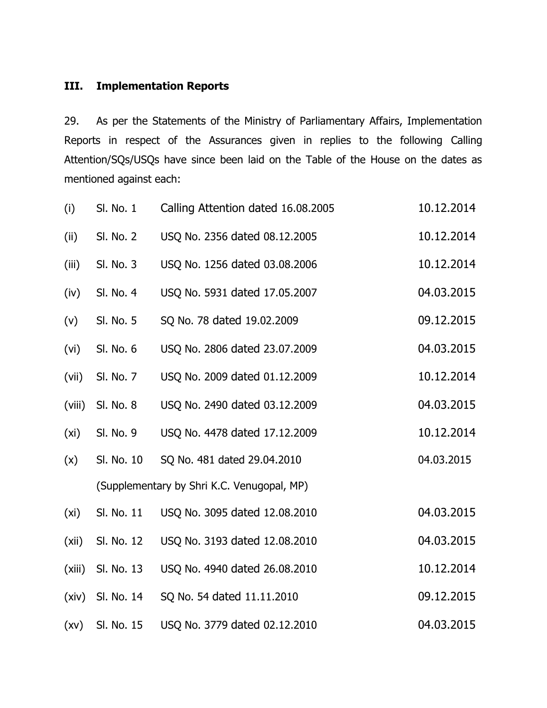## **III. Implementation Reports**

29. As per the Statements of the Ministry of Parliamentary Affairs, Implementation Reports in respect of the Assurances given in replies to the following Calling Attention/SQs/USQs have since been laid on the Table of the House on the dates as mentioned against each:

| (i)    | Sl. No. 1  | Calling Attention dated 16.08.2005         | 10.12.2014 |
|--------|------------|--------------------------------------------|------------|
| (ii)   | SI. No. 2  | USQ No. 2356 dated 08.12.2005              | 10.12.2014 |
| (iii)  | SI. No. 3  | USQ No. 1256 dated 03.08.2006              | 10.12.2014 |
| (iv)   | SI. No. 4  | USQ No. 5931 dated 17.05.2007              | 04.03.2015 |
| (v)    | SI. No. 5  | SQ No. 78 dated 19.02.2009                 | 09.12.2015 |
| (vi)   | SI. No. 6  | USQ No. 2806 dated 23.07.2009              | 04.03.2015 |
| (vii)  | SI. No. 7  | USQ No. 2009 dated 01.12.2009              | 10.12.2014 |
| (viii) | SI. No. 8  | USQ No. 2490 dated 03.12.2009              | 04.03.2015 |
| (xi)   | SI. No. 9  | USQ No. 4478 dated 17.12.2009              | 10.12.2014 |
| (x)    | Sl. No. 10 | SQ No. 481 dated 29.04.2010                | 04.03.2015 |
|        |            | (Supplementary by Shri K.C. Venugopal, MP) |            |
| (xi)   | SI. No. 11 | USQ No. 3095 dated 12.08.2010              | 04.03.2015 |
| (xii)  | Sl. No. 12 | USQ No. 3193 dated 12.08.2010              | 04.03.2015 |
| (xiii) | Sl. No. 13 | USQ No. 4940 dated 26.08.2010              | 10.12.2014 |
| (xiv)  | Sl. No. 14 | SQ No. 54 dated 11.11.2010                 | 09.12.2015 |
| (xv)   | Sl. No. 15 | USQ No. 3779 dated 02.12.2010              | 04.03.2015 |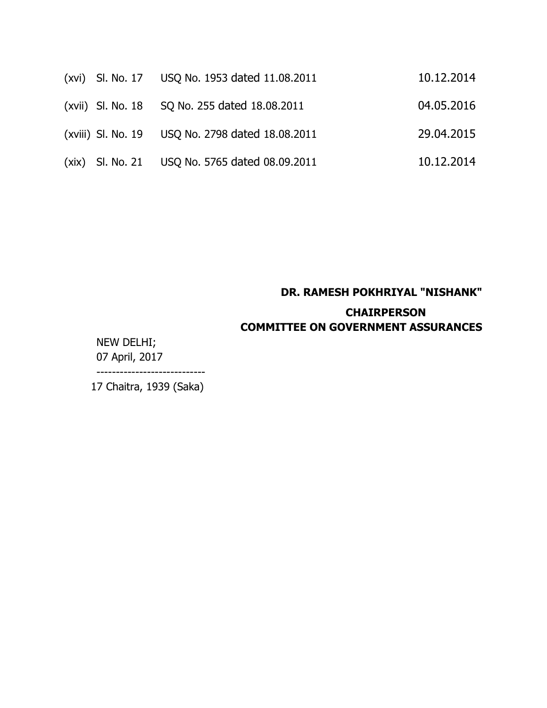|  | (xvi) SI. No. 17 USQ No. 1953 dated 11.08.2011   | 10.12.2014 |
|--|--------------------------------------------------|------------|
|  | (xvii) Sl. No. 18 SQ No. 255 dated 18.08.2011    | 04.05.2016 |
|  | (xviii) Sl. No. 19 USQ No. 2798 dated 18.08.2011 | 29.04.2015 |
|  | (xix) SI. No. 21 USQ No. 5765 dated 08.09.2011   | 10.12.2014 |

## **DR. RAMESH POKHRIYAL "NISHANK" CHAIRPERSON COMMITTEE ON GOVERNMENT ASSURANCES**

NEW DELHI; 07 April, 2017 ----------------------------

17 Chaitra, 1939 (Saka)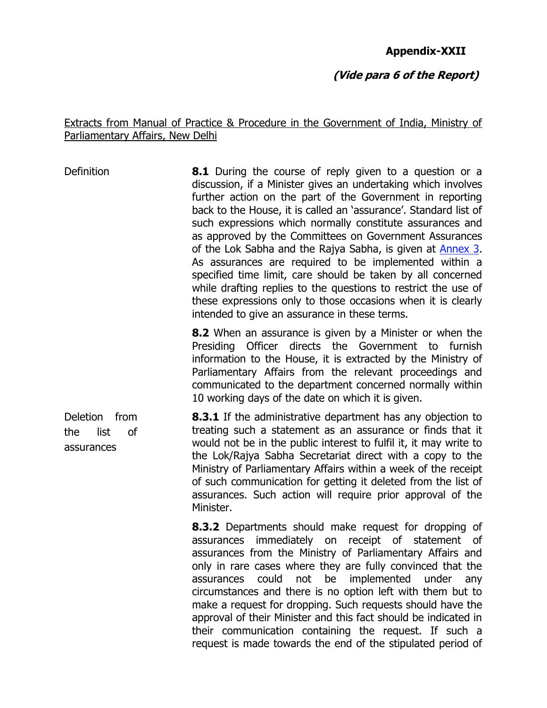#### **Appendix-XXII**

#### **(Vide para 6 of the Report)**

#### Extracts from Manual of Practice & Procedure in the Government of India, Ministry of Parliamentary Affairs, New Delhi

Definition **8.1** During the course of reply given to a question or a discussion, if a Minister gives an undertaking which involves further action on the part of the Government in reporting back to the House, it is called an 'assurance'. Standard list of such expressions which normally constitute assurances and as approved by the Committees on Government Assurances of the Lok Sabha and the Rajya Sabha, is given at [Annex 3.](http://www.mpa.nic.in/Manual/Manual_English/Annexure/annex-03.htm) As assurances are required to be implemented within a specified time limit, care should be taken by all concerned while drafting replies to the questions to restrict the use of these expressions only to those occasions when it is clearly intended to give an assurance in these terms.

> **8.2** When an assurance is given by a Minister or when the Presiding Officer directs the Government to furnish information to the House, it is extracted by the Ministry of Parliamentary Affairs from the relevant proceedings and communicated to the department concerned normally within 10 working days of the date on which it is given.

Deletion from the list of assurances **8.3.1** If the administrative department has any objection to treating such a statement as an assurance or finds that it would not be in the public interest to fulfil it, it may write to the Lok/Rajya Sabha Secretariat direct with a copy to the Ministry of Parliamentary Affairs within a week of the receipt of such communication for getting it deleted from the list of assurances. Such action will require prior approval of the Minister.

> **8.3.2** Departments should make request for dropping of assurances immediately on receipt of statement of assurances from the Ministry of Parliamentary Affairs and only in rare cases where they are fully convinced that the assurances could not be implemented under any circumstances and there is no option left with them but to make a request for dropping. Such requests should have the approval of their Minister and this fact should be indicated in their communication containing the request. If such a request is made towards the end of the stipulated period of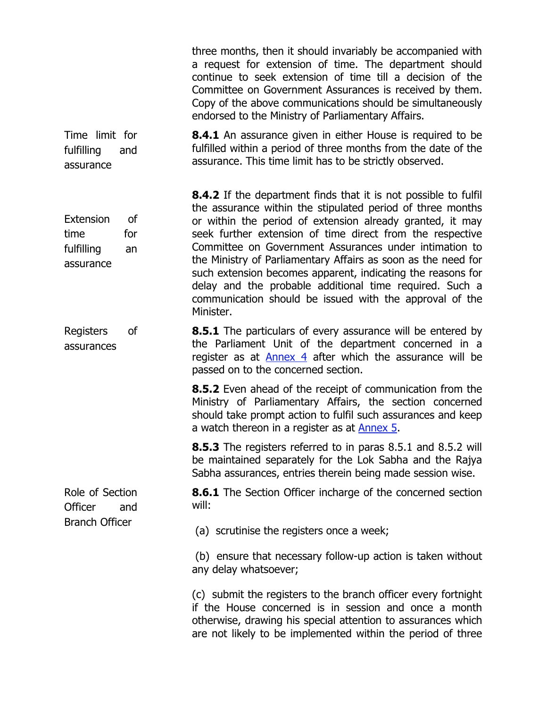|                                                                 | three months, then it should invariably be accompanied with<br>a request for extension of time. The department should<br>continue to seek extension of time till a decision of the<br>Committee on Government Assurances is received by them.<br>Copy of the above communications should be simultaneously<br>endorsed to the Ministry of Parliamentary Affairs.                                                                                                                                                                                                                            |
|-----------------------------------------------------------------|---------------------------------------------------------------------------------------------------------------------------------------------------------------------------------------------------------------------------------------------------------------------------------------------------------------------------------------------------------------------------------------------------------------------------------------------------------------------------------------------------------------------------------------------------------------------------------------------|
| Time limit for<br>fulfilling<br>and<br>assurance                | <b>8.4.1</b> An assurance given in either House is required to be<br>fulfilled within a period of three months from the date of the<br>assurance. This time limit has to be strictly observed.                                                                                                                                                                                                                                                                                                                                                                                              |
| Extension<br>οf<br>time<br>for<br>fulfilling<br>an<br>assurance | <b>8.4.2</b> If the department finds that it is not possible to fulfil<br>the assurance within the stipulated period of three months<br>or within the period of extension already granted, it may<br>seek further extension of time direct from the respective<br>Committee on Government Assurances under intimation to<br>the Ministry of Parliamentary Affairs as soon as the need for<br>such extension becomes apparent, indicating the reasons for<br>delay and the probable additional time required. Such a<br>communication should be issued with the approval of the<br>Minister. |
| of<br>Registers<br>assurances                                   | <b>8.5.1</b> The particulars of every assurance will be entered by<br>the Parliament Unit of the department concerned in a<br>register as at Annex 4 after which the assurance will be<br>passed on to the concerned section.                                                                                                                                                                                                                                                                                                                                                               |
|                                                                 | <b>8.5.2</b> Even ahead of the receipt of communication from the<br>Ministry of Parliamentary Affairs, the section concerned<br>should take prompt action to fulfil such assurances and keep<br>a watch thereon in a register as at Annex 5.                                                                                                                                                                                                                                                                                                                                                |
|                                                                 | 8.5.3 The registers referred to in paras 8.5.1 and 8.5.2 will<br>be maintained separately for the Lok Sabha and the Rajya<br>Sabha assurances, entries therein being made session wise.                                                                                                                                                                                                                                                                                                                                                                                                     |
| Role of Section<br>Officer<br>and                               | <b>8.6.1</b> The Section Officer incharge of the concerned section<br>will:                                                                                                                                                                                                                                                                                                                                                                                                                                                                                                                 |
| <b>Branch Officer</b>                                           | (a) scrutinise the registers once a week;                                                                                                                                                                                                                                                                                                                                                                                                                                                                                                                                                   |
|                                                                 | (b) ensure that necessary follow-up action is taken without<br>any delay whatsoever;                                                                                                                                                                                                                                                                                                                                                                                                                                                                                                        |
|                                                                 | (c) submit the registers to the branch officer every fortnight<br>if the House concerned is in session and once a month<br>otherwise, drawing his special attention to assurances which<br>are not likely to be implemented within the period of three                                                                                                                                                                                                                                                                                                                                      |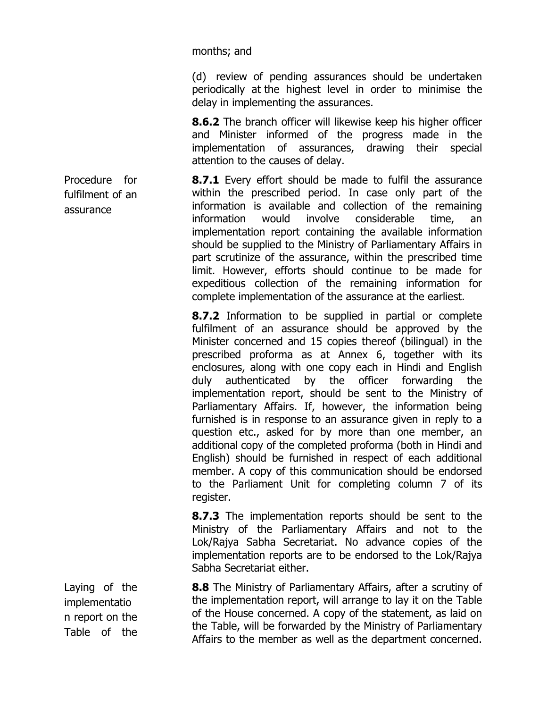months; and

(d) review of pending assurances should be undertaken periodically at the highest level in order to minimise the delay in implementing the assurances.

**8.6.2** The branch officer will likewise keep his higher officer and Minister informed of the progress made in the implementation of assurances, drawing their special attention to the causes of delay.

**8.7.1** Every effort should be made to fulfil the assurance within the prescribed period. In case only part of the information is available and collection of the remaining information would involve considerable time, an implementation report containing the available information should be supplied to the Ministry of Parliamentary Affairs in part scrutinize of the assurance, within the prescribed time limit. However, efforts should continue to be made for expeditious collection of the remaining information for complete implementation of the assurance at the earliest.

**8.7.2** Information to be supplied in partial or complete fulfilment of an assurance should be approved by the Minister concerned and 15 copies thereof (bilingual) in the prescribed proforma as at [Annex 6,](http://www.mpa.nic.in/Manual/Manual_English/Annexure/annex-06.htm) together with its enclosures, along with one copy each in Hindi and English duly authenticated by the officer forwarding the implementation report, should be sent to the Ministry of Parliamentary Affairs. If, however, the information being furnished is in response to an assurance given in reply to a question etc., asked for by more than one member, an additional copy of the completed proforma (both in Hindi and English) should be furnished in respect of each additional member. A copy of this communication should be endorsed to the Parliament Unit for completing column 7 of its register.

**8.7.3** The implementation reports should be sent to the Ministry of the Parliamentary Affairs and not to the Lok/Rajya Sabha Secretariat. No advance copies of the implementation reports are to be endorsed to the Lok/Rajya Sabha Secretariat either.

**8.8** The Ministry of Parliamentary Affairs, after a scrutiny of the implementation report, will arrange to lay it on the Table of the House concerned. A copy of the statement, as laid on the Table, will be forwarded by the Ministry of Parliamentary Affairs to the member as well as the department concerned.

Procedure for fulfilment of an assurance

Laying of the implementatio n report on the Table of the